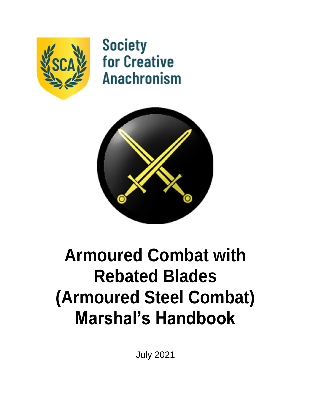

**Society for Creative Anachronism** 



# **Armoured Combat with Rebated Blades (Armoured Steel Combat) Marshal's Handbook**

July 2021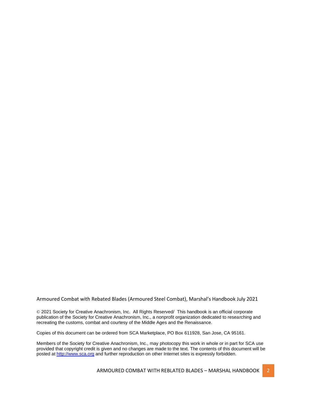#### Armoured Combat with Rebated Blades (Armoured Steel Combat), Marshal's Handbook July 2021

© 2021 Society for Creative Anachronism, Inc. All Rights Reserved/ This handbook is an official corporate publication of the Society for Creative Anachronism, Inc., a nonprofit organization dedicated to researching and recreating the customs, combat and courtesy of the Middle Ages and the Renaissance.

Copies of this document can be ordered from SCA Marketplace, PO Box 611928, San Jose, CA 95161.

Members of the Society for Creative Anachronism, Inc., may photocopy this work in whole or in part for SCA use provided that copyright credit is given and no changes are made to the text. The contents of this document will be posted a[t http://www.sca.org](about:blank) and further reproduction on other Internet sites is expressly forbidden.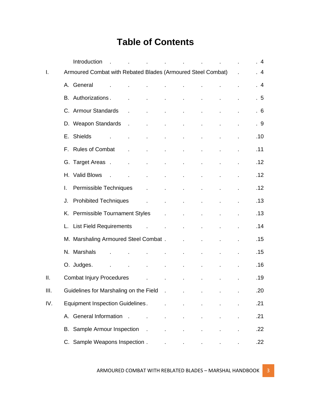# **Table of Contents**

|     |         | Introduction                                                |                             | $\mathbf{r}$                      |                                                     | the contract of the contract of the |                          |                           |         | $4 \overline{4}$ |
|-----|---------|-------------------------------------------------------------|-----------------------------|-----------------------------------|-----------------------------------------------------|-------------------------------------|--------------------------|---------------------------|---------|------------------|
| I.  |         | Armoured Combat with Rebated Blades (Armoured Steel Combat) |                             |                                   |                                                     |                                     |                          |                           | L.      | . 4              |
|     |         | A. General<br>$\sim$ $\sim$                                 |                             |                                   | and the state of                                    | <b>All Control</b>                  | $\mathbf{r}$             | ä,                        |         | .4               |
|     |         | B. Authorizations.                                          | ÷.                          | $\mathbf{r}$                      | $\mathbf{r}$                                        | $\mathcal{L}^{\mathcal{L}}$         |                          |                           |         | .5               |
|     |         | C. Armour Standards                                         | $\mathbf{r}$                | $\sim 10$                         | $\mathbf{r}$                                        | $\mathbf{r}$                        | $\mathbf{r}$             | ä,                        |         | .6               |
|     |         | D. Weapon Standards                                         | $\sim 10^{-10}$             | $\sim$                            | $\mathbf{r}$                                        | ÷.                                  | $\mathbf{r}$             | ä,                        |         | . 9              |
|     |         | E. Shields                                                  |                             | $\mathbf{r}$                      | ä,                                                  | $\blacksquare$                      | $\epsilon$               | ä,                        |         | .10              |
|     |         | F. Rules of Combat                                          | $\mathcal{L}^{\mathcal{L}}$ | <b>All Control</b>                | $\mathcal{L}^{\pm}$                                 | $\mathbf{r}^{\prime}$               | $\blacksquare$           | $\blacksquare$            |         | .11              |
|     |         | G. Target Areas . The assess                                |                             | $\mathbf{r}$                      | ä,                                                  | $\mathbf{r}$                        | $\mathcal{L}$            | ä,                        |         | .12              |
|     |         | H. Valid Blows<br>$\sim$                                    | $\mathbf{r}$                | $\mathbf{r}$                      | $\mathbf{r}$                                        | ä,                                  |                          |                           |         | .12              |
|     | L.      | Permissible Techniques                                      |                             | $\mathcal{L}^{\mathcal{L}}$       | t,                                                  | t,                                  |                          |                           |         | .12              |
|     | $J_{-}$ | Prohibited Techniques .                                     |                             |                                   | ÷.                                                  | ÷,                                  | ä,                       | ä,                        |         | .13              |
|     |         | K. Permissible Tournament Styles                            |                             |                                   | $\sim 100$ km s $^{-1}$<br><b>Contract Contract</b> |                                     | $\mathcal{L}$            | t.                        |         | .13              |
|     |         | L. List Field Requirements                                  |                             | and the control of the control of |                                                     |                                     | $\mathbf{r}$             | t.                        |         | .14              |
|     |         | M. Marshaling Armoured Steel Combat.                        |                             |                                   |                                                     |                                     | $\mathbf{r}$             | $\mathbf{r}$              |         | .15              |
|     |         | N. Marshals                                                 |                             |                                   | ä,                                                  | ä,                                  | ä,                       | $\blacksquare$            |         | .15              |
|     |         | O. Judges.                                                  |                             | $\mathbf{r}$                      | $\mathbf{r}^{\prime}$                               | $\epsilon$                          | $\blacksquare$           | $\bullet$                 | ×.      | .16              |
| Ш.  |         | <b>Combat Injury Procedures</b>                             |                             | $\mathbf{r}$                      | ä,                                                  |                                     |                          | ÷,                        |         | .19              |
| Ш.  |         | Guidelines for Marshaling on the Field .                    |                             |                                   |                                                     | <b>All Contracts</b>                | <b>Contract Contract</b> | $\mathbf{r} = \mathbf{r}$ |         | .20              |
| IV. |         | <b>Equipment Inspection Guidelines.</b>                     |                             |                                   | Ġ,                                                  | $\mathbf{r}$                        |                          | ä,                        |         | .21              |
|     |         | A. General Information.                                     |                             | $\mathbf{r}$                      | ä,                                                  |                                     |                          | $\blacksquare$            |         | .21              |
|     |         | B. Sample Armour Inspection .                               |                             |                                   | ä,                                                  | ä,                                  | ×.                       | $\blacksquare$            | $\cdot$ | .22              |
|     |         | C. Sample Weapons Inspection.                               |                             |                                   |                                                     |                                     |                          |                           |         | .22              |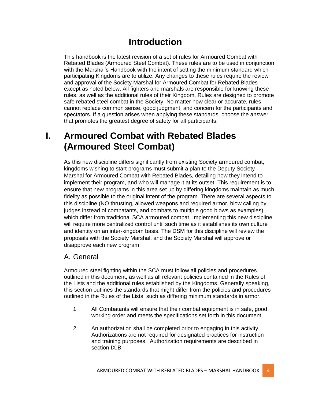# **Introduction**

This handbook is the latest revision of a set of rules for Armoured Combat with Rebated Blades (Armoured Steel Combat). These rules are to be used in conjunction with the Marshal's Handbook with the intent of setting the minimum standard which participating Kingdoms are to utilize. Any changes to these rules require the review and approval of the Society Marshal for Armoured Combat for Rebated Blades except as noted below. All fighters and marshals are responsible for knowing these rules, as well as the additional rules of their Kingdom. Rules are designed to promote safe rebated steel combat in the Society. No matter how clear or accurate, rules cannot replace common sense, good judgment, and concern for the participants and spectators. If a question arises when applying these standards, choose the answer that promotes the greatest degree of safety for all participants.

# **I. Armoured Combat with Rebated Blades (Armoured Steel Combat)**

As this new discipline differs significantly from existing Society armoured combat, kingdoms wishing to start programs must submit a plan to the Deputy Society Marshal for Armoured Combat with Rebated Blades, detailing how they intend to implement their program, and who will manage it at its outset. This requirement is to ensure that new programs in this area set up by differing kingdoms maintain as much fidelity as possible to the original intent of the program. There are several aspects to this discipline (NO thrusting, allowed weapons and required armor, blow calling by judges instead of combatants, and combats to multiple good blows as examples) which differ from traditional SCA armoured combat. Implementing this new discipline will require more centralized control until such time as it establishes its own culture and identity on an inter-kingdom basis. The DSM for this discipline will review the proposals with the Society Marshal, and the Society Marshal will approve or disapprove each new program

#### A. General

Armoured steel fighting within the SCA must follow all policies and procedures outlined in this document, as well as all relevant policies contained in the Rules of the Lists and the additional rules established by the Kingdoms. Generally speaking, this section outlines the standards that might differ from the policies and procedures outlined in the Rules of the Lists, such as differing minimum standards in armor.

- 1. All Combatants will ensure that their combat equipment is in safe, good working order and meets the specifications set forth in this document.
- 2. An authorization shall be completed prior to engaging in this activity. Authorizations are not required for designated practices for instruction and training purposes. Authorization requirements are described in section IX.B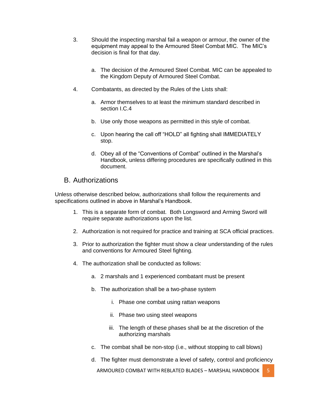- 3. Should the inspecting marshal fail a weapon or armour, the owner of the equipment may appeal to the Armoured Steel Combat MIC. The MIC's decision is final for that day.
	- a. The decision of the Armoured Steel Combat. MIC can be appealed to the Kingdom Deputy of Armoured Steel Combat.
- 4. Combatants, as directed by the Rules of the Lists shall:
	- a. Armor themselves to at least the minimum standard described in section I.C.4
	- b. Use only those weapons as permitted in this style of combat.
	- c. Upon hearing the call off "HOLD" all fighting shall IMMEDIATELY stop.
	- d. Obey all of the "Conventions of Combat" outlined in the Marshal's Handbook, unless differing procedures are specifically outlined in this document.

#### B. Authorizations

Unless otherwise described below, authorizations shall follow the requirements and specifications outlined in above in Marshal's Handbook.

- 1. This is a separate form of combat. Both Longsword and Arming Sword will require separate authorizations upon the list.
- 2. Authorization is not required for practice and training at SCA official practices.
- 3. Prior to authorization the fighter must show a clear understanding of the rules and conventions for Armoured Steel fighting.
- 4. The authorization shall be conducted as follows:
	- a. 2 marshals and 1 experienced combatant must be present
	- b. The authorization shall be a two-phase system
		- i. Phase one combat using rattan weapons
		- ii. Phase two using steel weapons
		- iii. The length of these phases shall be at the discretion of the authorizing marshals
	- c. The combat shall be non-stop (i.e., without stopping to call blows)
	- d. The fighter must demonstrate a level of safety, control and proficiency

ARMOURED COMBAT WITH REBLATED BLADES – MARSHAL HANDBOOK 5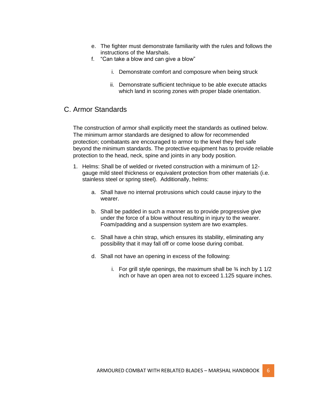- e. The fighter must demonstrate familiarity with the rules and follows the instructions of the Marshals.
- f. "Can take a blow and can give a blow"
	- i. Demonstrate comfort and composure when being struck
	- ii. Demonstrate sufficient technique to be able execute attacks which land in scoring zones with proper blade orientation.

#### C. Armor Standards

The construction of armor shall explicitly meet the standards as outlined below. The minimum armor standards are designed to allow for recommended protection; combatants are encouraged to armor to the level they feel safe beyond the minimum standards. The protective equipment has to provide reliable protection to the head, neck, spine and joints in any body position.

- 1. Helms: Shall be of welded or riveted construction with a minimum of 12 gauge mild steel thickness or equivalent protection from other materials (i.e. stainless steel or spring steel). Additionally, helms:
	- a. Shall have no internal protrusions which could cause injury to the wearer.
	- b. Shall be padded in such a manner as to provide progressive give under the force of a blow without resulting in injury to the wearer. Foam/padding and a suspension system are two examples.
	- c. Shall have a chin strap, which ensures its stability, eliminating any possibility that it may fall off or come loose during combat.
	- d. Shall not have an opening in excess of the following:
		- i. For grill style openings, the maximum shall be  $\frac{3}{4}$  inch by 1 1/2 inch or have an open area not to exceed 1.125 square inches.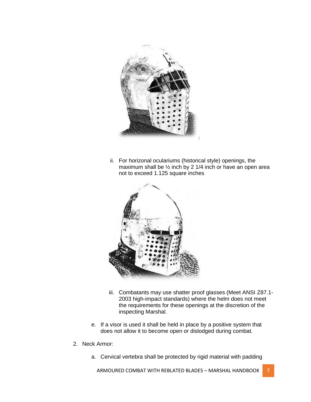

ii. For horizonal oculariums (historical style) openings, the maximum shall be ½ inch by 2 1/4 inch or have an open area not to exceed 1.125 square inches



- iii. Combatants may use shatter proof glasses (Meet ANSI Z87.1-2003 high-impact standards) where the helm does not meet the requirements for these openings at the discretion of the inspecting Marshal.
- e. If a visor is used it shall be held in place by a positive system that does not allow it to become open or dislodged during combat.
- 2. Neck Armor:
	- a. Cervical vertebra shall be protected by rigid material with padding

ARMOURED COMBAT WITH REBLATED BLADES – MARSHAL HANDBOOK 7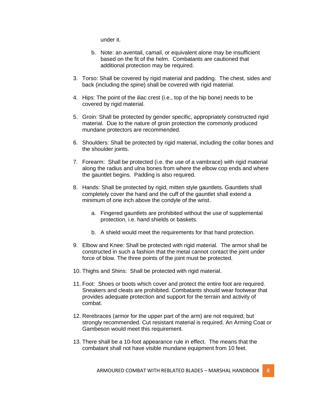under it.

- b. Note: an aventail, camail, or equivalent alone may be insufficient based on the fit of the helm. Combatants are cautioned that additional protection may be required.
- 3. Torso: Shall be covered by rigid material and padding. The chest, sides and back (including the spine) shall be covered with rigid material.
- 4. Hips: The point of the iliac crest (i.e., top of the hip bone) needs to be covered by rigid material.
- 5. Groin: Shall be protected by gender specific, appropriately constructed rigid material. Due to the nature of groin protection the commonly produced mundane protectors are recommended.
- 6. Shoulders: Shall be protected by rigid material, including the collar bones and the shoulder joints.
- 7. Forearm: Shall be protected (i.e. the use of a vambrace) with rigid material along the radius and ulna bones from where the elbow cop ends and where the gauntlet begins. Padding is also required.
- 8. Hands: Shall be protected by rigid, mitten style gauntlets. Gauntlets shall completely cover the hand and the cuff of the gauntlet shall extend a minimum of one inch above the condyle of the wrist.
	- a. Fingered gauntlets are prohibited without the use of supplemental protection, i.e. hand shields or baskets.
	- b. A shield would meet the requirements for that hand protection.
- 9. Elbow and Knee: Shall be protected with rigid material. The armor shall be constructed in such a fashion that the metal cannot contact the joint under force of blow. The three points of the joint must be protected.
- 10. Thighs and Shins: Shall be protected with rigid material.
- 11. Foot: Shoes or boots which cover and protect the entire foot are required. Sneakers and cleats are prohibited. Combatants should wear footwear that provides adequate protection and support for the terrain and activity of combat.
- 12. Rerebraces (armor for the upper part of the arm) are not required, but strongly recommended. Cut resistant material is required. An Arming Coat or Gambeson would meet this requirement.
- 13. There shall be a 10-foot appearance rule in effect. The means that the combatant shall not have visible mundane equipment from 10 feet.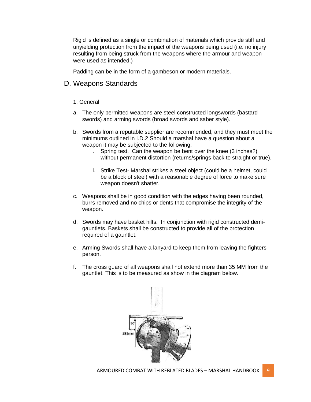Rigid is defined as a single or combination of materials which provide stiff and unyielding protection from the impact of the weapons being used (i.e. no injury resulting from being struck from the weapons where the armour and weapon were used as intended.)

Padding can be in the form of a gambeson or modern materials.

#### D. Weapons Standards

- 1. General
- a. The only permitted weapons are steel constructed longswords (bastard swords) and arming swords (broad swords and saber style).
- b. Swords from a reputable supplier are recommended, and they must meet the minimums outlined in I.D.2 Should a marshal have a question about a weapon it may be subjected to the following:
	- i. Spring test. Can the weapon be bent over the knee (3 inches?) without permanent distortion (returns/springs back to straight or true).
	- ii. Strike Test- Marshal strikes a steel object (could be a helmet, could be a block of steel) with a reasonable degree of force to make sure weapon doesn't shatter.
- c. Weapons shall be in good condition with the edges having been rounded, burrs removed and no chips or dents that compromise the integrity of the weapon.
- d. Swords may have basket hilts. In conjunction with rigid constructed demigauntlets. Baskets shall be constructed to provide all of the protection required of a gauntlet.
- e. Arming Swords shall have a lanyard to keep them from leaving the fighters person.
- f. The cross guard of all weapons shall not extend more than 35 MM from the gauntlet. This is to be measured as show in the diagram below.

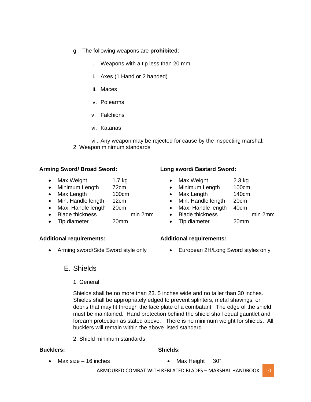- g. The following weapons are **prohibited**:
	- i. Weapons with a tip less than 20 mm
	- ii. Axes (1 Hand or 2 handed)
	- iii. Maces
	- iv. Polearms
	- v. Falchions
	- vi. Katanas

vii. Any weapon may be rejected for cause by the inspecting marshal. 2. Weapon minimum standards

#### **Arming Sword/ Broad Sword:**

- Max Weight 1.7 kg
- Minimum Length 72cm
- Max Length 100cm
- Min. Handle length 12cm
- Max. Handle length 20cm
- Blade thickness min 2mm
- Tip diameter 20mm

#### **Additional requirements:**

• Arming sword/Side Sword style only

#### **Long sword/ Bastard Sword:**

- Max Weight 2.3 kg
	- Minimum Length 100cm
- Max Length 140cm
- Min. Handle length 20cm
- Max. Handle length 40cm
- Blade thickness min 2mm
	-
- Tip diameter 20mm

#### **Additional requirements:**

• European 2H/Long Sword styles only

#### E. Shields

1. General

Shields shall be no more than 23. 5 inches wide and no taller than 30 inches. Shields shall be appropriately edged to prevent splinters, metal shavings, or debris that may fit through the face plate of a combatant. The edge of the shield must be maintained. Hand protection behind the shield shall equal gauntlet and forearm protection as stated above. There is no minimum weight for shields. All bucklers will remain within the above listed standard.

2. Shield minimum standards

#### **Bucklers:**

• Max size – 16 inches

- **Shields:**
	- Max Height 30"

ARMOURED COMBAT WITH REBLATED BLADES - MARSHAL HANDBOOK 10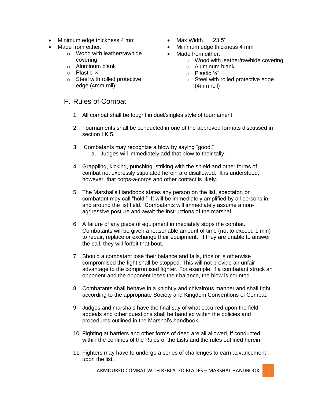- Minimum edge thickness 4 mm
- Made from either:
	- o Wood with leather/rawhide covering
	- o Aluminum blank
	- o Plastic ¼"
	- o Steel with rolled protective edge (4mm roll)

### F. Rules of Combat

- Max Width 23.5"
- Minimum edge thickness 4 mm
- Made from either:
	- o Wood with leather/rawhide covering
	- o Aluminum blank
	- o Plastic ¼"
	- o Steel with rolled protective edge (4mm roll)
- 1. All combat shall be fought in duel/singles style of tournament.
- 2. Tournaments shall be conducted in one of the approved formats discussed in section I.K.5.
- 3. Combatants may recognize a blow by saying "good." a. Judges will immediately add that blow to their tally.
- 4. Grappling, kicking, punching, striking with the shield and other forms of combat not expressly stipulated herein are disallowed. It is understood, however, that corps-a-corps and other contact is likely.
- 5. The Marshal's Handbook states any person on the list, spectator, or combatant may call "hold." It will be immediately amplified by all persons in and around the list field. Combatants will immediately assume a nonaggressive posture and await the instructions of the marshal.
- 6. A failure of any piece of equipment immediately stops the combat. Combatants will be given a reasonable amount of time (not to exceed 1 min) to repair, replace or exchange their equipment. If they are unable to answer the call, they will forfeit that bout.
- 7. Should a combatant lose their balance and falls, trips or is otherwise compromised the fight shall be stopped. This will not provide an unfair advantage to the compromised fighter. For example, if a combatant struck an opponent and the opponent loses their balance, the blow is counted.
- 8. Combatants shall behave in a knightly and chivalrous manner and shall fight according to the appropriate Society and Kingdom Conventions of Combat.
- 9. Judges and marshals have the final say of what occurred upon the field, appeals and other questions shall be handled within the policies and procedures outlined in the Marshal's handbook.
- 10. Fighting at barriers and other forms of deed are all allowed, if conducted within the confines of the Rules of the Lists and the rules outlined herein.
- 11. Fighters may have to undergo a series of challenges to earn advancement upon the list.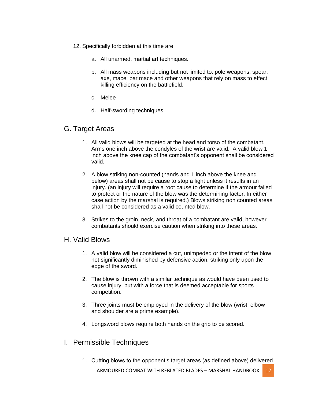- 12. Specifically forbidden at this time are:
	- a. All unarmed, martial art techniques.
	- b. All mass weapons including but not limited to: pole weapons, spear, axe, mace, bar mace and other weapons that rely on mass to effect killing efficiency on the battlefield.
	- c. Melee
	- d. Half-swording techniques

#### G. Target Areas

- 1. All valid blows will be targeted at the head and torso of the combatant. Arms one inch above the condyles of the wrist are valid. A valid blow 1 inch above the knee cap of the combatant's opponent shall be considered valid.
- 2. A blow striking non-counted (hands and 1 inch above the knee and below) areas shall not be cause to stop a fight unless it results in an injury. (an injury will require a root cause to determine if the armour failed to protect or the nature of the blow was the determining factor. In either case action by the marshal is required.) Blows striking non counted areas shall not be considered as a valid counted blow.
- 3. Strikes to the groin, neck, and throat of a combatant are valid, however combatants should exercise caution when striking into these areas.

#### H. Valid Blows

- 1. A valid blow will be considered a cut, unimpeded or the intent of the blow not significantly diminished by defensive action, striking only upon the edge of the sword.
- 2. The blow is thrown with a similar technique as would have been used to cause injury, but with a force that is deemed acceptable for sports competition.
- 3. Three joints must be employed in the delivery of the blow (wrist, elbow and shoulder are a prime example).
- 4. Longsword blows require both hands on the grip to be scored.

#### I. Permissible Techniques

ARMOURED COMBAT WITH REBLATED BLADES - MARSHAL HANDBOOK 12 1. Cutting blows to the opponent's target areas (as defined above) delivered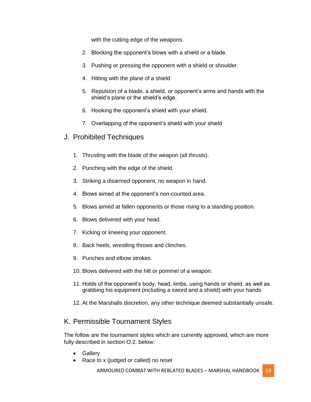with the cutting edge of the weapons.

- 2. Blocking the opponent's blows with a shield or a blade.
- 3. Pushing or pressing the opponent with a shield or shoulder.
- 4. Hitting with the plane of a shield
- 5. Repulsion of a blade, a shield, or opponent's arms and hands with the shield's plane or the shield's edge.
- 6. Hooking the opponent's shield with your shield.
- 7. Overlapping of the opponent's shield with your shield
- J. Prohibited Techniques
	- 1. Thrusting with the blade of the weapon (all thrusts).
	- 2. Punching with the edge of the shield.
	- 3. Striking a disarmed opponent, no weapon in hand.
	- 4. Blows aimed at the opponent's non-counted area.
	- 5. Blows aimed at fallen opponents or those rising to a standing position.
	- 6. Blows delivered with your head.
	- 7. Kicking or kneeing your opponent.
	- 8. Back heels, wrestling throws and clinches.
	- 9. Punches and elbow strokes.
	- 10. Blows delivered with the hilt or pommel of a weapon.
	- 11. Holds of the opponent's body, head, limbs, using hands or shield, as well as grabbing his equipment (including a sword and a shield) with your hands
	- 12. At the Marshalls discretion, any other technique deemed substantially unsafe.

### K. Permissible Tournament Styles

The follow are the tournament styles which are currently approved, which are more fully described in section O.2. below:

- Gallery
- Race to x (judged or called) no reset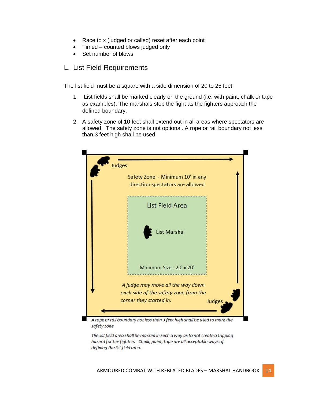- Race to x (judged or called) reset after each point
- Timed counted blows judged only
- Set number of blows

#### L. List Field Requirements

The list field must be a square with a side dimension of 20 to 25 feet.

- 1. List fields shall be marked clearly on the ground (i.e. with paint, chalk or tape as examples). The marshals stop the fight as the fighters approach the defined boundary.
- 2. A safety zone of 10 feet shall extend out in all areas where spectators are allowed. The safety zone is not optional. A rope or rail boundary not less than 3 feet high shall be used.

| Safety Zone - Minimum 10' in any<br>direction spectators are allowed       |
|----------------------------------------------------------------------------|
| <b>List Field Area</b>                                                     |
| <b>List Marshal</b>                                                        |
| Minimum Size - 20' x 20'<br><u>same pre americane presenta</u>             |
| A judge may move all the way down                                          |
| each side of the safety zone from the<br>corner they started in.<br>Judges |

safety zone

The list field area shall be marked in such a way as to not create a tripping hazard for the fighters - Chalk, paint, tape are all acceptable ways of defining the list field area.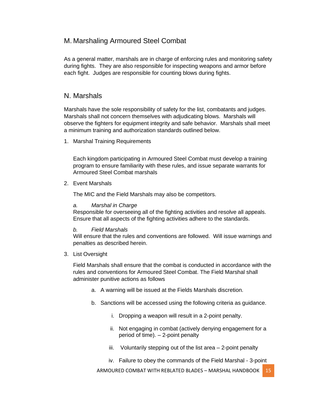#### M. Marshaling Armoured Steel Combat

As a general matter, marshals are in charge of enforcing rules and monitoring safety during fights. They are also responsible for inspecting weapons and armor before each fight. Judges are responsible for counting blows during fights.

#### N. Marshals

Marshals have the sole responsibility of safety for the list, combatants and judges. Marshals shall not concern themselves with adjudicating blows. Marshals will observe the fighters for equipment integrity and safe behavior. Marshals shall meet a minimum training and authorization standards outlined below.

1. Marshal Training Requirements

Each kingdom participating in Armoured Steel Combat must develop a training program to ensure familiarity with these rules, and issue separate warrants for Armoured Steel Combat marshals

2. Event Marshals

The MIC and the Field Marshals may also be competitors.

#### *a. Marshal in Charge*

Responsible for overseeing all of the fighting activities and resolve all appeals. Ensure that all aspects of the fighting activities adhere to the standards.

#### *b. Field Marshals*

Will ensure that the rules and conventions are followed. Will issue warnings and penalties as described herein.

3. List Oversight

Field Marshals shall ensure that the combat is conducted in accordance with the rules and conventions for Armoured Steel Combat. The Field Marshal shall administer punitive actions as follows

- a. A warning will be issued at the Fields Marshals discretion.
- b. Sanctions will be accessed using the following criteria as guidance.
	- i. Dropping a weapon will result in a 2-point penalty.
	- ii. Not engaging in combat (actively denying engagement for a period of time). – 2-point penalty
	- iii. Voluntarily stepping out of the list area 2-point penalty
	- iv. Failure to obey the commands of the Field Marshal 3-point

ARMOURED COMBAT WITH REBLATED BLADES - MARSHAL HANDBOOK 15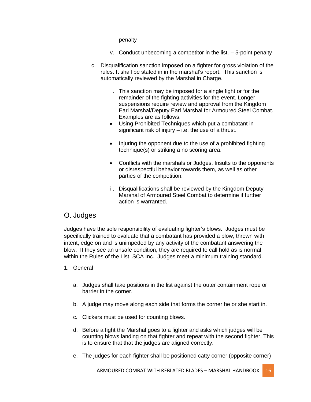#### penalty

- v. Conduct unbecoming a competitor in the list. 5-point penalty
- c. Disqualification sanction imposed on a fighter for gross violation of the rules. It shall be stated in in the marshal's report. This sanction is automatically reviewed by the Marshal in Charge.
	- i. This sanction may be imposed for a single fight or for the remainder of the fighting activities for the event. Longer suspensions require review and approval from the Kingdom Earl Marshal/Deputy Earl Marshal for Armoured Steel Combat. Examples are as follows:
	- Using Prohibited Techniques which put a combatant in significant risk of injury  $-$  i.e. the use of a thrust.
	- Injuring the opponent due to the use of a prohibited fighting technique(s) or striking a no scoring area.
	- Conflicts with the marshals or Judges. Insults to the opponents or disrespectful behavior towards them, as well as other parties of the competition.
	- ii. Disqualifications shall be reviewed by the Kingdom Deputy Marshal of Armoured Steel Combat to determine if further action is warranted.

#### O. Judges

Judges have the sole responsibility of evaluating fighter's blows. Judges must be specifically trained to evaluate that a combatant has provided a blow, thrown with intent, edge on and is unimpeded by any activity of the combatant answering the blow. If they see an unsafe condition, they are required to call hold as is normal within the Rules of the List, SCA Inc. Judges meet a minimum training standard.

#### 1. General

- a. Judges shall take positions in the list against the outer containment rope or barrier in the corner.
- b. A judge may move along each side that forms the corner he or she start in.
- c. Clickers must be used for counting blows.
- d. Before a fight the Marshal goes to a fighter and asks which judges will be counting blows landing on that fighter and repeat with the second fighter. This is to ensure that that the judges are aligned correctly.
- e. The judges for each fighter shall be positioned catty corner (opposite corner)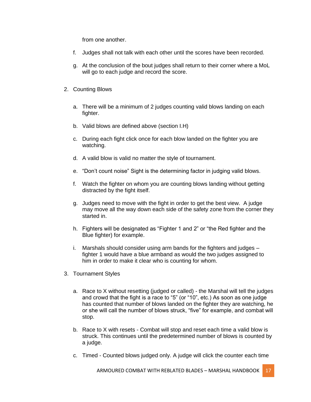from one another.

- f. Judges shall not talk with each other until the scores have been recorded.
- g. At the conclusion of the bout judges shall return to their corner where a MoL will go to each judge and record the score.
- 2. Counting Blows
	- a. There will be a minimum of 2 judges counting valid blows landing on each fighter.
	- b. Valid blows are defined above (section I.H)
	- c. During each fight click once for each blow landed on the fighter you are watching.
	- d. A valid blow is valid no matter the style of tournament.
	- e. "Don't count noise" Sight is the determining factor in judging valid blows.
	- f. Watch the fighter on whom you are counting blows landing without getting distracted by the fight itself.
	- g. Judges need to move with the fight in order to get the best view. A judge may move all the way down each side of the safety zone from the corner they started in.
	- h. Fighters will be designated as "Fighter 1 and 2" or "the Red fighter and the Blue fighter) for example.
	- i. Marshals should consider using arm bands for the fighters and judges fighter 1 would have a blue armband as would the two judges assigned to him in order to make it clear who is counting for whom.
- 3. Tournament Styles
	- a. Race to X without resetting (judged or called) the Marshal will tell the judges and crowd that the fight is a race to "5" (or "10", etc.) As soon as one judge has counted that number of blows landed on the fighter they are watching, he or she will call the number of blows struck, "five" for example, and combat will stop.
	- b. Race to X with resets Combat will stop and reset each time a valid blow is struck. This continues until the predetermined number of blows is counted by a judge.
	- c. Timed Counted blows judged only. A judge will click the counter each time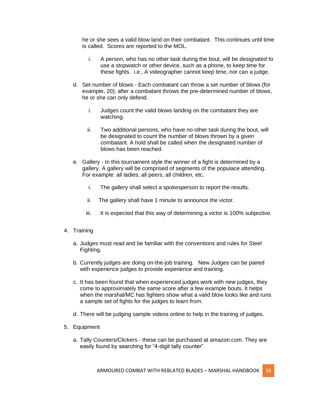he or she sees a valid blow land on their combatant. This continues until time is called. Scores are reported to the MOL.

- i. A person, who has no other task during the bout, will be designated to use a stopwatch or other device, such as a phone, to keep time for these fights. i.e., A videographer cannot keep time, nor can a judge.
- d. Set number of blows Each combatant can throw a set number of blows (for example, 20); after a combatant throws the pre-determined number of blows, he or she can only defend.
	- i. Judges count the valid blows landing on the combatant they are watching.
	- ii. Two additional persons, who have no other task during the bout, will be designated to count the number of blows thrown by a given combatant. A hold shall be called when the designated number of blows has been reached.
- e. Gallery In this tournament style the winner of a fight is determined by a gallery. A gallery will be comprised of segments of the populace attending. For example: all ladies, all peers, all children, etc.
	- i. The gallery shall select a spokesperson to report the results.
	- ii. The gallery shall have 1 minute to announce the victor.
	- iii. It is expected that this way of determining a victor is 100% subjective.
- 4. Training
	- a. Judges must read and be familiar with the conventions and rules for Steel Fighting.
	- b. Currently judges are doing on-the-job training. New Judges can be paired with experience judges to provide experience and training.
	- c. It has been found that when experienced judges work with new judges, they come to approximately the same score after a few example bouts. It helps when the marshal/MC has fighters show what a valid blow looks like and runs a sample set of fights for the judges to learn from.
	- d. There will be judging sample videos online to help in the training of judges.
- 5. Equipment
	- a. Tally Counters/Clickers these can be purchased at amazon.com. They are easily found by searching for "4-digit tally counter"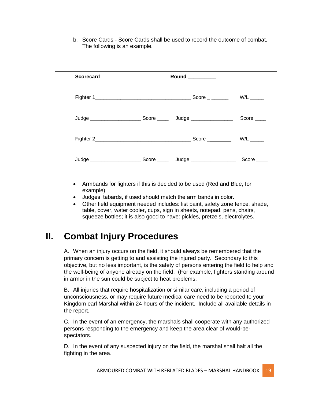b. Score Cards - Score Cards shall be used to record the outcome of combat. The following is an example.

| <b>Scorecard</b> |  |                               |                          |
|------------------|--|-------------------------------|--------------------------|
|                  |  | $Score$ <sub>________</sub>   | $W/L$ <sub>_______</sub> |
|                  |  |                               | Score $\_\_$             |
| Fighter 2        |  | $Score$ <sub>__________</sub> | $W/L$ <sub>_______</sub> |
|                  |  |                               | $Score$ <sub>____</sub>  |
|                  |  |                               |                          |

- Armbands for fighters if this is decided to be used (Red and Blue, for example)
- Judges' tabards, if used should match the arm bands in color.
- Other field equipment needed includes: list paint, safety zone fence, shade, table, cover, water cooler, cups, sign in sheets, notepad, pens, chairs, squeeze bottles; it is also good to have: pickles, pretzels, electrolytes.

# **II. Combat Injury Procedures**

A. When an injury occurs on the field, it should always be remembered that the primary concern is getting to and assisting the injured party. Secondary to this objective, but no less important, is the safety of persons entering the field to help and the well-being of anyone already on the field. (For example, fighters standing around in armor in the sun could be subject to heat problems.

B. All injuries that require hospitalization or similar care, including a period of unconsciousness, or may require future medical care need to be reported to your Kingdom earl Marshal within 24 hours of the incident. Include all available details in the report.

C. In the event of an emergency, the marshals shall cooperate with any authorized persons responding to the emergency and keep the area clear of would-bespectators.

D. In the event of any suspected injury on the field, the marshal shall halt all the fighting in the area.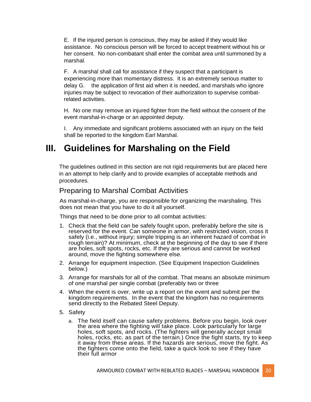E. If the injured person is conscious, they may be asked if they would like assistance. No conscious person will be forced to accept treatment without his or her consent. No non-combatant shall enter the combat area until summoned by a marshal.

F. A marshal shall call for assistance if they suspect that a participant is experiencing more than momentary distress. It is an extremely serious matter to delay G. the application of first aid when it is needed, and marshals who ignore injuries may be subject to revocation of their authorization to supervise combatrelated activities.

H. No one may remove an injured fighter from the field without the consent of the event marshal-in-charge or an appointed deputy.

I. Any immediate and significant problems associated with an injury on the field shall be reported to the kingdom Earl Marshal.

# **III. Guidelines for Marshaling on the Field**

The guidelines outlined in this section are not rigid requirements but are placed here in an attempt to help clarify and to provide examples of acceptable methods and procedures.

#### Preparing to Marshal Combat Activities

As marshal-in-charge, you are responsible for organizing the marshaling. This does not mean that you have to do it all yourself.

Things that need to be done prior to all combat activities:

- 1. Check that the field can be safely fought upon, preferably before the site is reserved for the event. Can someone in armor, with restricted vision, cross it safely (i.e., without injury; simple tripping is an inherent hazard of combat in rough terrain)? At minimum, check at the beginning of the day to see if there are holes, soft spots, rocks, etc. If they are serious and cannot be worked around, move the fighting somewhere else.
- 2. Arrange for equipment inspection. (See Equipment Inspection Guidelines below.)
- 3. Arrange for marshals for all of the combat. That means an absolute minimum of one marshal per single combat (preferably two or three
- 4. When the event is over, write up a report on the event and submit per the kingdom requirements. In the event that the kingdom has no requirements send directly to the Rebated Steel Deputy.
- 5. Safety
	- a. The field itself can cause safety problems. Before you begin, look over the area where the fighting will take place. Look particularly for large holes, soft spots, and rocks. (The fighters will generally accept small holes, rocks, etc. as part of the terrain.) Once the fight starts, try to keep it away from these areas. If the hazards are serious, move the fight. As the fighters come onto the field, take a quick look to see if they have their full armor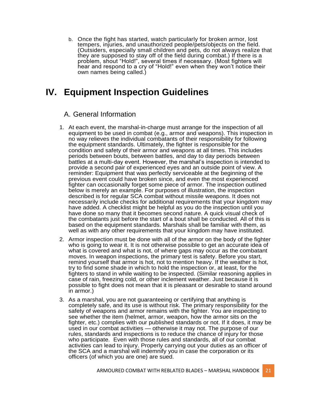b. Once the fight has started, watch particularly for broken armor, lost tempers, injuries, and unauthorized people/pets/objects on the field. (Outsiders, especially small children and pets, do not always realize that they are supposed to stay off of the field during combat.) If there is a problem, shout "Hold!", several times if necessary. (Most fighters will hear and respond to a cry of "Hold!" even when they won't notice their own names being called.)

# **IV. Equipment Inspection Guidelines**

#### A. General Information

- 1. At each event, the marshal-in-charge must arrange for the inspection of all equipment to be used in combat (e.g., armor and weapons). This inspection in no way relieves the individual combatants of their responsibility for following the equipment standards. Ultimately, the fighter is responsible for the condition and safety of their armor and weapons at all times. This includes periods between bouts, between battles, and day to day periods between battles at a multi-day event. However, the marshal's inspection is intended to provide a second pair of experienced eyes and an outside point of view. A reminder: Equipment that was perfectly serviceable at the beginning of the previous event could have broken since, and even the most experienced fighter can occasionally forget some piece of armor. The inspection outlined below is merely an example. For purposes of illustration, the inspection described is for regular SCA combat without missile weapons. It does not necessarily include checks for additional requirements that your kingdom may have added. A checklist might be helpful as you do the inspection until you have done so many that it becomes second nature. A quick visual check of the combatants just before the start of a bout shall be conducted. All of this is based on the equipment standards. Marshals shall be familiar with them, as well as with any other requirements that your kingdom may have instituted.
- 2. Armor inspection must be done with all of the armor on the body of the fighter who is going to wear it. It is not otherwise possible to get an accurate idea of what is covered and what is not, of where gaps may occur as the combatant moves. In weapon inspections, the primary test is safety. Before you start, remind yourself that armor is hot, not to mention heavy. If the weather is hot, try to find some shade in which to hold the inspection or, at least, for the fighters to stand in while waiting to be inspected. (Similar reasoning applies in case of rain, freezing cold, or other inclement weather. Just because it is possible to fight does not mean that it is pleasant or desirable to stand around in armor.)
- 3. As a marshal, you are not guaranteeing or certifying that anything is completely safe, and its use is without risk. The primary responsibility for the safety of weapons and armor remains with the fighter. You are inspecting to see whether the item (helmet, armor, weapon, how the armor sits on the fighter, etc.) complies with our published standards or not. If it does, it may be used in our combat activities — otherwise it may not. The purpose of our rules, standards and inspections is to reduce the chance of injury for those who participate. Even with those rules and standards, all of our combat activities can lead to injury. Properly carrying out your duties as an officer of the SCA and a marshal will indemnify you in case the corporation or its officers (of which you are one) are sued.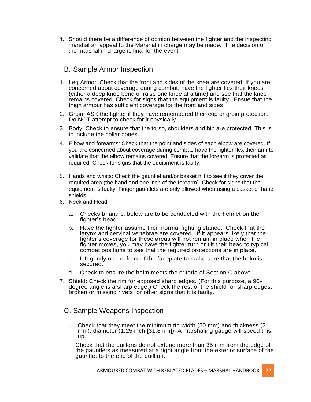4. Should there be a difference of opinion between the fighter and the inspecting marshal an appeal to the Marshal in charge may be made. The decision of the marshal in charge is final for the event.

#### B. Sample Armor Inspection

- 1. Leg Armor: Check that the front and sides of the knee are covered. If you are concerned about coverage during combat, have the fighter flex their knees (either a deep knee bend or raise one knee at a time) and see that the knee remains covered. Check for signs that the equipment is faulty. Ensue that the thigh armour has sufficient coverage for the front and sides
- 2. Groin: ASK the fighter if they have remembered their cup or groin protection. Do NOT attempt to check for it physically.
- 3. Body: Check to ensure that the torso, shoulders and hip are protected. This is to include the collar bones.
- 4. Elbow and forearms: Check that the point and sides of each elbow are covered. If you are concerned about coverage during combat, have the fighter flex their arm to validate that the elbow remains covered. Ensure that the forearm is protected as required. Check for signs that the equipment is faulty.
- 5. Hands and wrists: Check the gauntlet and/or basket hilt to see if they cover the required area (the hand and one inch of the forearm). Check for signs that the equipment is faulty. Finger gauntlets are only allowed when using a basket or hand shields.
- 6. Neck and Head:
	- a. Checks b. and c. below are to be conducted with the helmet on the fighter's head.
	- b. Have the fighter assume their normal fighting stance. Check that the larynx and cervical vertebrae are covered. If it appears likely that the fighter's coverage for these areas will not remain in place when the fighter moves, you may have the fighter turn or tilt their head to typical combat positions to see that the required protections are in place.
	- c. Lift gently on the front of the faceplate to make sure that the helm is secured.
	- d. Check to ensure the helm meets the criteria of Section C above.
- 7. Shield: Check the rim for exposed sharp edges. (For this purpose, a 90 degree angle is a sharp edge.) Check the rest of the shield for sharp edges, broken or missing rivets, or other signs that it is faulty.

#### C. Sample Weapons Inspection

c. Check that they meet the minimum tip width (20 mm) and thickness (2 mm). diameter (1.25 inch [31.8mm]). A marshaling gauge will speed this up.

Check that the quillons do not extend more than 35 mm from the edge of the gauntlets as measured at a right angle from the exterior surface of the gauntlet to the end of the quillion.